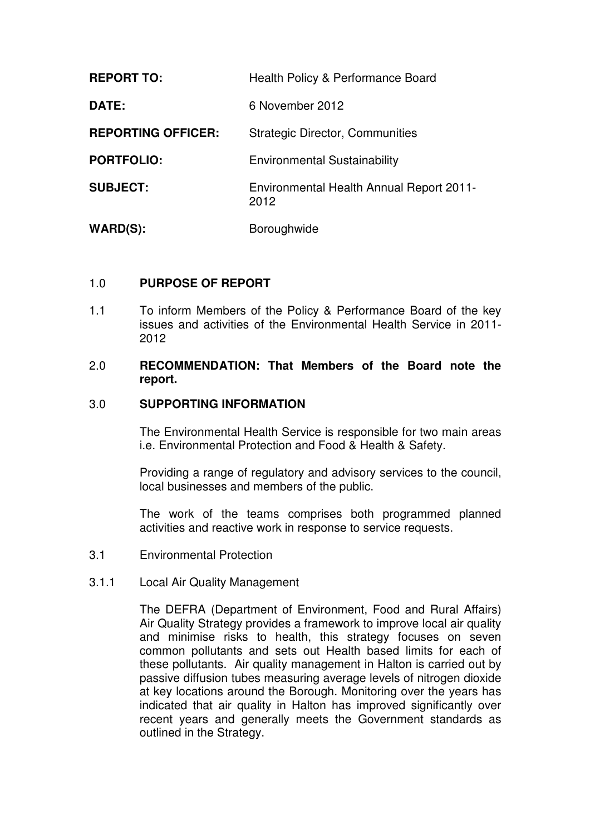| <b>REPORT TO:</b>         | Health Policy & Performance Board                |
|---------------------------|--------------------------------------------------|
| DATE:                     | 6 November 2012                                  |
| <b>REPORTING OFFICER:</b> | <b>Strategic Director, Communities</b>           |
| <b>PORTFOLIO:</b>         | <b>Environmental Sustainability</b>              |
| <b>SUBJECT:</b>           | Environmental Health Annual Report 2011-<br>2012 |
| $WARD(S)$ :               | Boroughwide                                      |

# 1.0 **PURPOSE OF REPORT**

1.1 To inform Members of the Policy & Performance Board of the key issues and activities of the Environmental Health Service in 2011- 2012

# 2.0 **RECOMMENDATION: That Members of the Board note the report.**

## 3.0 **SUPPORTING INFORMATION**

 The Environmental Health Service is responsible for two main areas i.e. Environmental Protection and Food & Health & Safety.

Providing a range of regulatory and advisory services to the council, local businesses and members of the public.

The work of the teams comprises both programmed planned activities and reactive work in response to service requests.

- 3.1 Environmental Protection
- 3.1.1 Local Air Quality Management

The DEFRA (Department of Environment, Food and Rural Affairs) Air Quality Strategy provides a framework to improve local air quality and minimise risks to health, this strategy focuses on seven common pollutants and sets out Health based limits for each of these pollutants. Air quality management in Halton is carried out by passive diffusion tubes measuring average levels of nitrogen dioxide at key locations around the Borough. Monitoring over the years has indicated that air quality in Halton has improved significantly over recent years and generally meets the Government standards as outlined in the Strategy.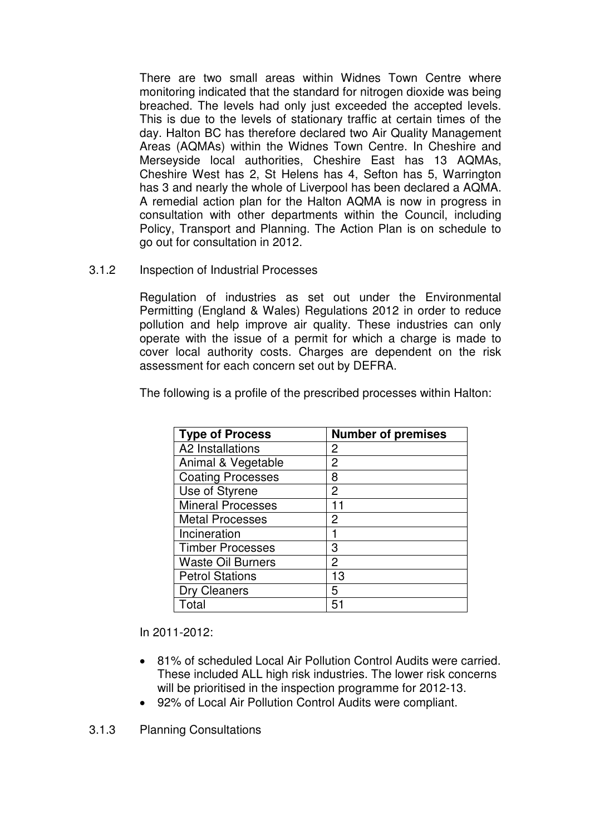There are two small areas within Widnes Town Centre where monitoring indicated that the standard for nitrogen dioxide was being breached. The levels had only just exceeded the accepted levels. This is due to the levels of stationary traffic at certain times of the day. Halton BC has therefore declared two Air Quality Management Areas (AQMAs) within the Widnes Town Centre. In Cheshire and Merseyside local authorities, Cheshire East has 13 AQMAs, Cheshire West has 2, St Helens has 4, Sefton has 5, Warrington has 3 and nearly the whole of Liverpool has been declared a AQMA. A remedial action plan for the Halton AQMA is now in progress in consultation with other departments within the Council, including Policy, Transport and Planning. The Action Plan is on schedule to go out for consultation in 2012.

3.1.2 Inspection of Industrial Processes

Regulation of industries as set out under the Environmental Permitting (England & Wales) Regulations 2012 in order to reduce pollution and help improve air quality. These industries can only operate with the issue of a permit for which a charge is made to cover local authority costs. Charges are dependent on the risk assessment for each concern set out by DEFRA.

The following is a profile of the prescribed processes within Halton:

| <b>Type of Process</b>   | <b>Number of premises</b> |
|--------------------------|---------------------------|
| A2 Installations         | 2                         |
| Animal & Vegetable       | 2                         |
| <b>Coating Processes</b> | 8                         |
| Use of Styrene           | 2                         |
| <b>Mineral Processes</b> | 11                        |
| <b>Metal Processes</b>   | 2                         |
| Incineration             |                           |
| <b>Timber Processes</b>  | З                         |
| <b>Waste Oil Burners</b> | 2                         |
| <b>Petrol Stations</b>   | 13                        |
| Dry Cleaners             | 5                         |
| Total                    | 51                        |

In 2011-2012:

- 81% of scheduled Local Air Pollution Control Audits were carried. These included ALL high risk industries. The lower risk concerns will be prioritised in the inspection programme for 2012-13.
- 92% of Local Air Pollution Control Audits were compliant.

3.1.3 Planning Consultations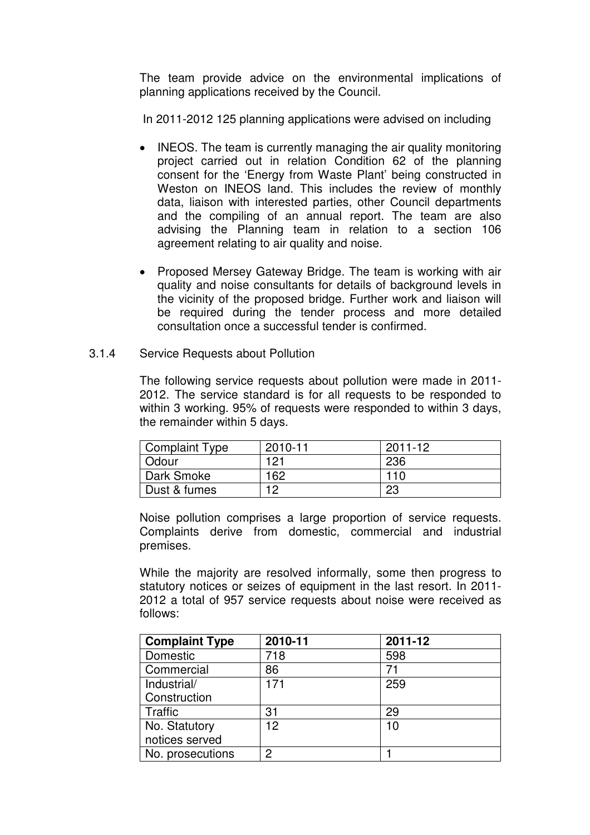The team provide advice on the environmental implications of planning applications received by the Council.

In 2011-2012 125 planning applications were advised on including

- INEOS. The team is currently managing the air quality monitoring project carried out in relation Condition 62 of the planning consent for the 'Energy from Waste Plant' being constructed in Weston on INEOS land. This includes the review of monthly data, liaison with interested parties, other Council departments and the compiling of an annual report. The team are also advising the Planning team in relation to a section 106 agreement relating to air quality and noise.
- Proposed Mersey Gateway Bridge. The team is working with air quality and noise consultants for details of background levels in the vicinity of the proposed bridge. Further work and liaison will be required during the tender process and more detailed consultation once a successful tender is confirmed.

## 3.1.4 Service Requests about Pollution

The following service requests about pollution were made in 2011- 2012. The service standard is for all requests to be responded to within 3 working. 95% of requests were responded to within 3 days, the remainder within 5 days.

| <b>Complaint Type</b> | 2010-11 | 2011-12 |
|-----------------------|---------|---------|
| Odour                 | 121     | 236     |
| Dark Smoke            | 162     | 110     |
| Dust & fumes          | 10      | 23      |

Noise pollution comprises a large proportion of service requests. Complaints derive from domestic, commercial and industrial premises.

While the majority are resolved informally, some then progress to statutory notices or seizes of equipment in the last resort. In 2011- 2012 a total of 957 service requests about noise were received as follows:

| <b>Complaint Type</b> | 2010-11 | 2011-12 |
|-----------------------|---------|---------|
| Domestic              | 718     | 598     |
| Commercial            | 86      | 71      |
| Industrial/           | 171     | 259     |
| Construction          |         |         |
| Traffic               | 31      | 29      |
| No. Statutory         | 12      | 10      |
| notices served        |         |         |
| No. prosecutions      | 2       |         |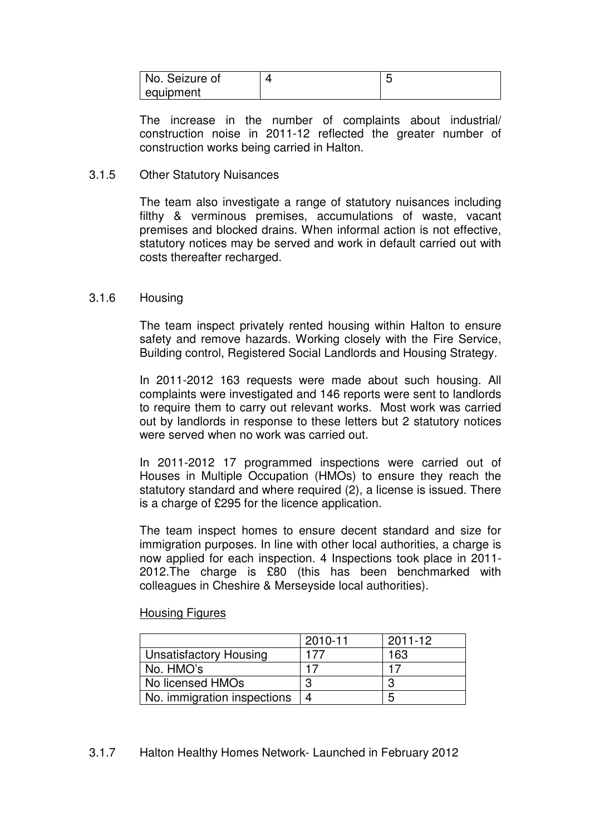| No. Seizure of |  |
|----------------|--|
| equipment      |  |

The increase in the number of complaints about industrial/ construction noise in 2011-12 reflected the greater number of construction works being carried in Halton.

## 3.1.5 Other Statutory Nuisances

The team also investigate a range of statutory nuisances including filthy & verminous premises, accumulations of waste, vacant premises and blocked drains. When informal action is not effective, statutory notices may be served and work in default carried out with costs thereafter recharged.

## 3.1.6 Housing

The team inspect privately rented housing within Halton to ensure safety and remove hazards. Working closely with the Fire Service, Building control, Registered Social Landlords and Housing Strategy.

In 2011-2012 163 requests were made about such housing. All complaints were investigated and 146 reports were sent to landlords to require them to carry out relevant works. Most work was carried out by landlords in response to these letters but 2 statutory notices were served when no work was carried out.

In 2011-2012 17 programmed inspections were carried out of Houses in Multiple Occupation (HMOs) to ensure they reach the statutory standard and where required (2), a license is issued. There is a charge of £295 for the licence application.

The team inspect homes to ensure decent standard and size for immigration purposes. In line with other local authorities, a charge is now applied for each inspection. 4 Inspections took place in 2011- 2012.The charge is £80 (this has been benchmarked with colleagues in Cheshire & Merseyside local authorities).

### Housing Figures

|                               | 2010-11 | 2011-12 |
|-------------------------------|---------|---------|
| <b>Unsatisfactory Housing</b> | 177     | 163     |
| No. HMO's                     | 17      |         |
| No licensed HMOs              | ≏       |         |
| No. immigration inspections   |         | .<br>C  |

# 3.1.7 Halton Healthy Homes Network- Launched in February 2012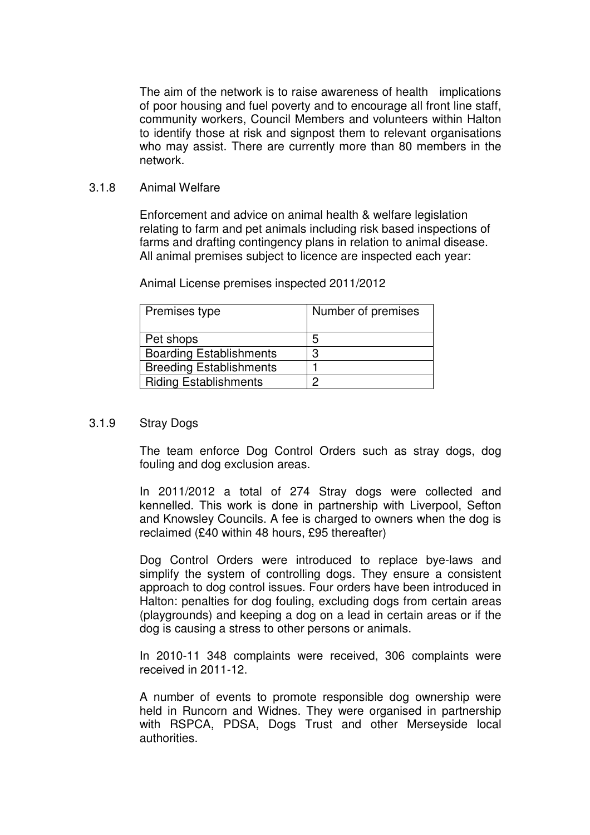The aim of the network is to raise awareness of health implications of poor housing and fuel poverty and to encourage all front line staff, community workers, Council Members and volunteers within Halton to identify those at risk and signpost them to relevant organisations who may assist. There are currently more than 80 members in the network.

## 3.1.8 Animal Welfare

Enforcement and advice on animal health & welfare legislation relating to farm and pet animals including risk based inspections of farms and drafting contingency plans in relation to animal disease. All animal premises subject to licence are inspected each year:

| Premises type                  | Number of premises |
|--------------------------------|--------------------|
| Pet shops                      | 5                  |
| <b>Boarding Establishments</b> | 3                  |
| <b>Breeding Establishments</b> |                    |
| <b>Riding Establishments</b>   | ∩                  |

Animal License premises inspected 2011/2012

# 3.1.9 Stray Dogs

The team enforce Dog Control Orders such as stray dogs, dog fouling and dog exclusion areas.

In 2011/2012 a total of 274 Stray dogs were collected and kennelled. This work is done in partnership with Liverpool, Sefton and Knowsley Councils. A fee is charged to owners when the dog is reclaimed (£40 within 48 hours, £95 thereafter)

Dog Control Orders were introduced to replace bye-laws and simplify the system of controlling dogs. They ensure a consistent approach to dog control issues. Four orders have been introduced in Halton: penalties for dog fouling, excluding dogs from certain areas (playgrounds) and keeping a dog on a lead in certain areas or if the dog is causing a stress to other persons or animals.

In 2010-11 348 complaints were received, 306 complaints were received in 2011-12.

A number of events to promote responsible dog ownership were held in Runcorn and Widnes. They were organised in partnership with RSPCA, PDSA, Dogs Trust and other Merseyside local authorities.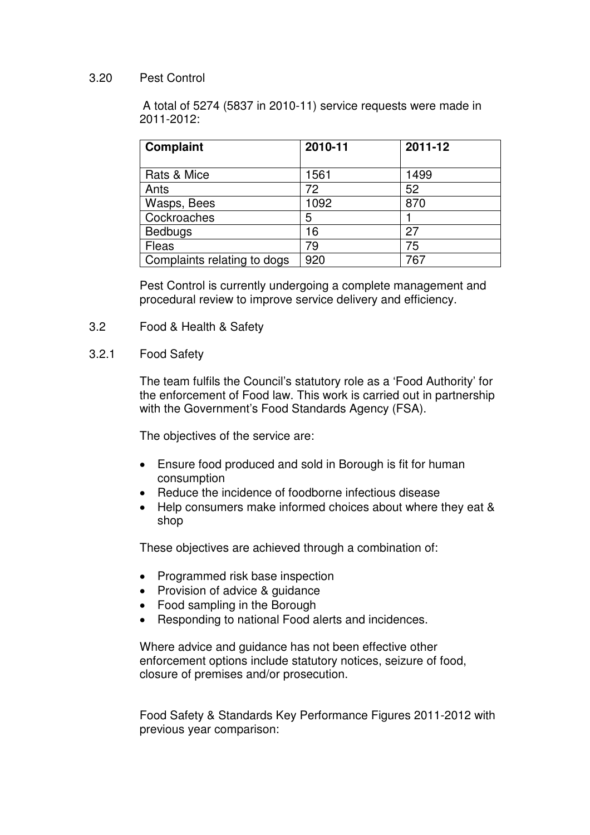# 3.20 Pest Control

A total of 5274 (5837 in 2010-11) service requests were made in 2011-2012:

| <b>Complaint</b>            | 2010-11 | 2011-12 |
|-----------------------------|---------|---------|
|                             |         |         |
| Rats & Mice                 | 1561    | 1499    |
| Ants                        | 72      | 52      |
| Wasps, Bees                 | 1092    | 870     |
| Cockroaches                 | 5       |         |
| <b>Bedbugs</b>              | 16      | 27      |
| Fleas                       | 79      | 75      |
| Complaints relating to dogs | 920     | 767     |

Pest Control is currently undergoing a complete management and procedural review to improve service delivery and efficiency.

- 3.2 Food & Health & Safety
- 3.2.1 Food Safety

The team fulfils the Council's statutory role as a 'Food Authority' for the enforcement of Food law. This work is carried out in partnership with the Government's Food Standards Agency (FSA).

The objectives of the service are:

- Ensure food produced and sold in Borough is fit for human consumption
- Reduce the incidence of foodborne infectious disease
- Help consumers make informed choices about where they eat & shop

These objectives are achieved through a combination of:

- Programmed risk base inspection
- Provision of advice & guidance
- Food sampling in the Borough
- Responding to national Food alerts and incidences.

Where advice and guidance has not been effective other enforcement options include statutory notices, seizure of food, closure of premises and/or prosecution.

Food Safety & Standards Key Performance Figures 2011-2012 with previous year comparison: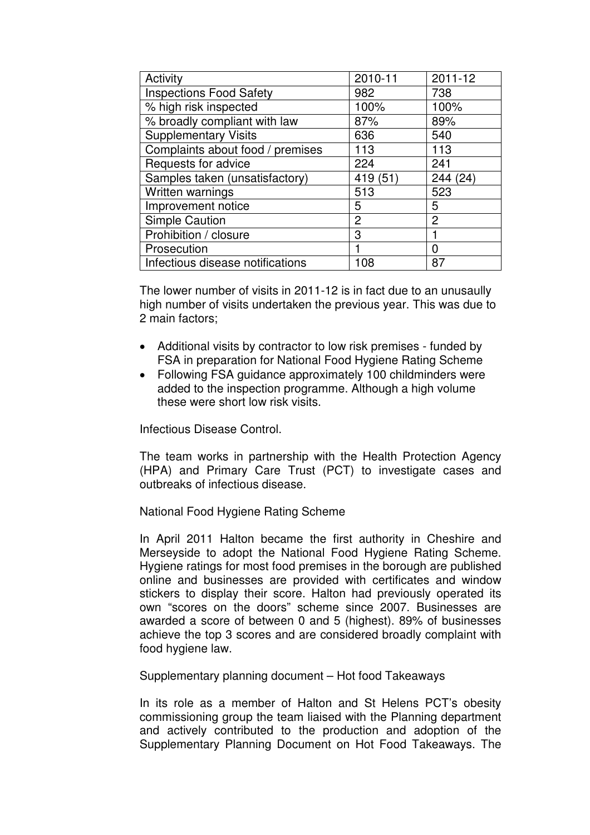| Activity                         | 2010-11        | 2011-12        |
|----------------------------------|----------------|----------------|
| <b>Inspections Food Safety</b>   | 982            | 738            |
| % high risk inspected            | 100%           | 100%           |
| % broadly compliant with law     | 87%            | 89%            |
| <b>Supplementary Visits</b>      | 636            | 540            |
| Complaints about food / premises | 113            | 113            |
| Requests for advice              | 224            | 241            |
| Samples taken (unsatisfactory)   | 419 (51)       | 244 (24)       |
| Written warnings                 | 513            | 523            |
| Improvement notice               | 5              | 5              |
| <b>Simple Caution</b>            | $\overline{2}$ | $\overline{2}$ |
| Prohibition / closure            | 3              |                |
| Prosecution                      |                | 0              |
| Infectious disease notifications | 108            | 87             |

The lower number of visits in 2011-12 is in fact due to an unusaully high number of visits undertaken the previous year. This was due to 2 main factors;

- Additional visits by contractor to low risk premises funded by FSA in preparation for National Food Hygiene Rating Scheme
- Following FSA guidance approximately 100 childminders were added to the inspection programme. Although a high volume these were short low risk visits.

Infectious Disease Control.

The team works in partnership with the Health Protection Agency (HPA) and Primary Care Trust (PCT) to investigate cases and outbreaks of infectious disease.

National Food Hygiene Rating Scheme

In April 2011 Halton became the first authority in Cheshire and Merseyside to adopt the National Food Hygiene Rating Scheme. Hygiene ratings for most food premises in the borough are published online and businesses are provided with certificates and window stickers to display their score. Halton had previously operated its own "scores on the doors" scheme since 2007. Businesses are awarded a score of between 0 and 5 (highest). 89% of businesses achieve the top 3 scores and are considered broadly complaint with food hygiene law.

Supplementary planning document – Hot food Takeaways

In its role as a member of Halton and St Helens PCT's obesity commissioning group the team liaised with the Planning department and actively contributed to the production and adoption of the Supplementary Planning Document on Hot Food Takeaways. The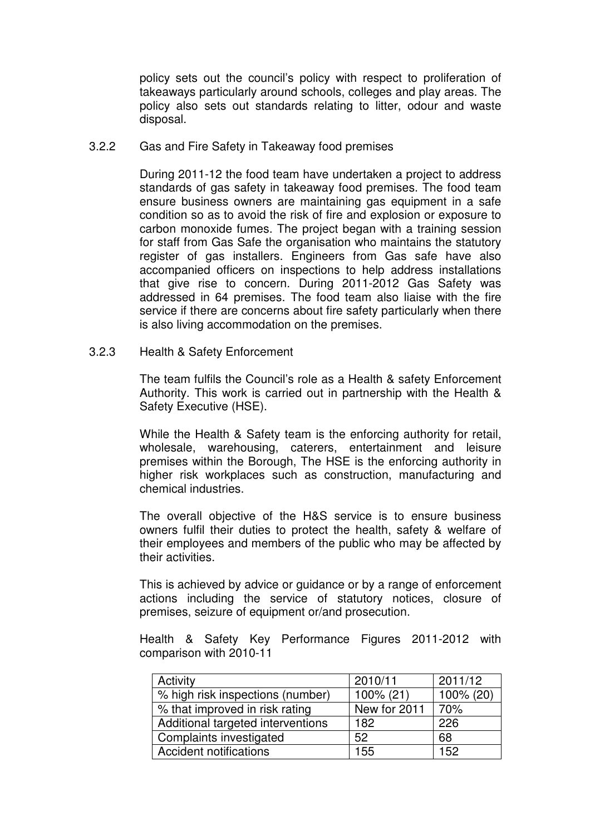policy sets out the council's policy with respect to proliferation of takeaways particularly around schools, colleges and play areas. The policy also sets out standards relating to litter, odour and waste disposal.

3.2.2 Gas and Fire Safety in Takeaway food premises

During 2011-12 the food team have undertaken a project to address standards of gas safety in takeaway food premises. The food team ensure business owners are maintaining gas equipment in a safe condition so as to avoid the risk of fire and explosion or exposure to carbon monoxide fumes. The project began with a training session for staff from Gas Safe the organisation who maintains the statutory register of gas installers. Engineers from Gas safe have also accompanied officers on inspections to help address installations that give rise to concern. During 2011-2012 Gas Safety was addressed in 64 premises. The food team also liaise with the fire service if there are concerns about fire safety particularly when there is also living accommodation on the premises.

3.2.3 Health & Safety Enforcement

The team fulfils the Council's role as a Health & safety Enforcement Authority. This work is carried out in partnership with the Health & Safety Executive (HSE).

While the Health & Safety team is the enforcing authority for retail, wholesale, warehousing, caterers, entertainment and leisure premises within the Borough, The HSE is the enforcing authority in higher risk workplaces such as construction, manufacturing and chemical industries.

The overall objective of the H&S service is to ensure business owners fulfil their duties to protect the health, safety & welfare of their employees and members of the public who may be affected by their activities.

This is achieved by advice or guidance or by a range of enforcement actions including the service of statutory notices, closure of premises, seizure of equipment or/and prosecution.

Health & Safety Key Performance Figures 2011-2012 with comparison with 2010-11

| Activity                          | 2010/11      | 2011/12   |
|-----------------------------------|--------------|-----------|
| % high risk inspections (number)  | 100% (21)    | 100% (20) |
| % that improved in risk rating    | New for 2011 | 70%       |
| Additional targeted interventions | 182          | 226       |
| Complaints investigated           | 52           | 68        |
| <b>Accident notifications</b>     | 155          | 152       |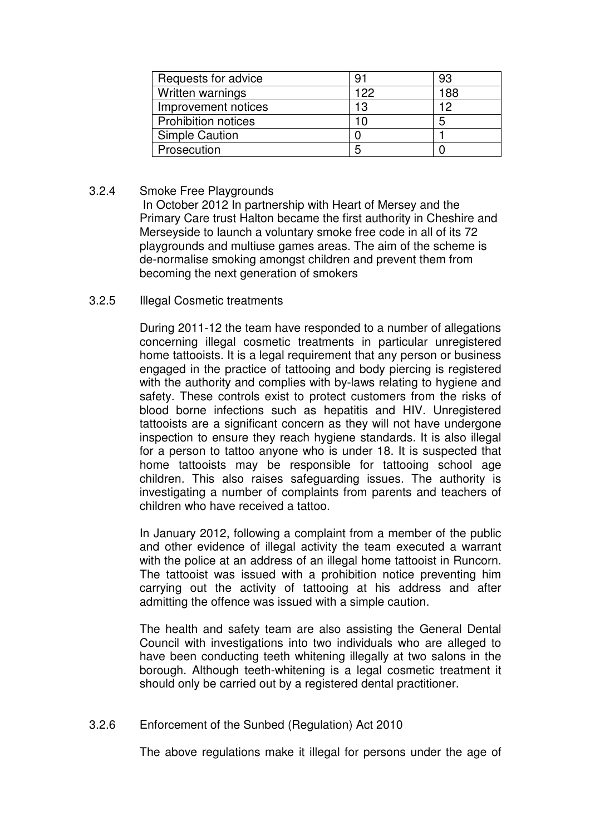| Requests for advice        | 91  | 93  |
|----------------------------|-----|-----|
| Written warnings           | 122 | 188 |
| Improvement notices        | 13  | 19  |
| <b>Prohibition notices</b> |     | 5   |
| <b>Simple Caution</b>      |     |     |
| Prosecution                | 5   |     |

# 3.2.4 Smoke Free Playgrounds

 In October 2012 In partnership with Heart of Mersey and the Primary Care trust Halton became the first authority in Cheshire and Merseyside to launch a voluntary smoke free code in all of its 72 playgrounds and multiuse games areas. The aim of the scheme is de-normalise smoking amongst children and prevent them from becoming the next generation of smokers

3.2.5 Illegal Cosmetic treatments

During 2011-12 the team have responded to a number of allegations concerning illegal cosmetic treatments in particular unregistered home tattooists. It is a legal requirement that any person or business engaged in the practice of tattooing and body piercing is registered with the authority and complies with by-laws relating to hygiene and safety. These controls exist to protect customers from the risks of blood borne infections such as hepatitis and HIV. Unregistered tattooists are a significant concern as they will not have undergone inspection to ensure they reach hygiene standards. It is also illegal for a person to tattoo anyone who is under 18. It is suspected that home tattooists may be responsible for tattooing school age children. This also raises safeguarding issues. The authority is investigating a number of complaints from parents and teachers of children who have received a tattoo.

In January 2012, following a complaint from a member of the public and other evidence of illegal activity the team executed a warrant with the police at an address of an illegal home tattooist in Runcorn. The tattooist was issued with a prohibition notice preventing him carrying out the activity of tattooing at his address and after admitting the offence was issued with a simple caution.

The health and safety team are also assisting the General Dental Council with investigations into two individuals who are alleged to have been conducting teeth whitening illegally at two salons in the borough. Although teeth-whitening is a legal cosmetic treatment it should only be carried out by a registered dental practitioner.

# 3.2.6 Enforcement of the Sunbed (Regulation) Act 2010

The above regulations make it illegal for persons under the age of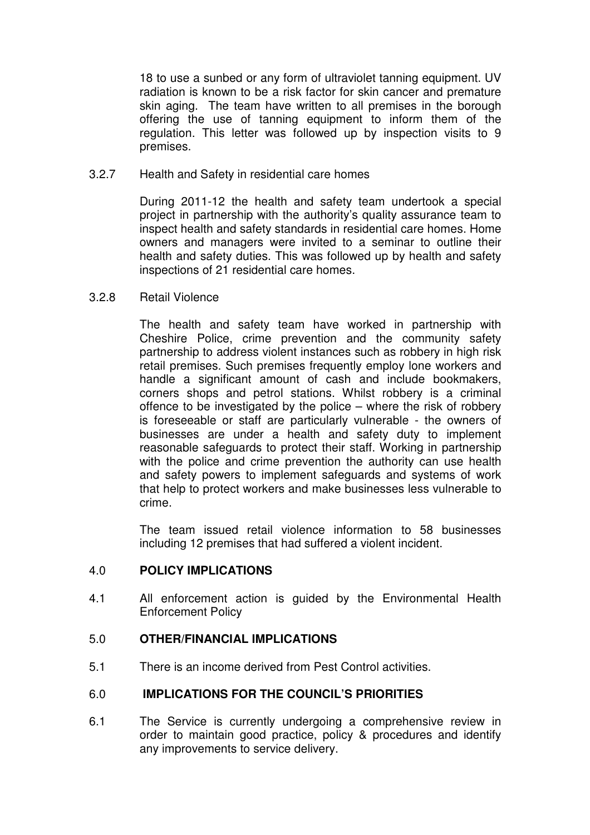18 to use a sunbed or any form of ultraviolet tanning equipment. UV radiation is known to be a risk factor for skin cancer and premature skin aging. The team have written to all premises in the borough offering the use of tanning equipment to inform them of the regulation. This letter was followed up by inspection visits to 9 premises.

3.2.7 Health and Safety in residential care homes

During 2011-12 the health and safety team undertook a special project in partnership with the authority's quality assurance team to inspect health and safety standards in residential care homes. Home owners and managers were invited to a seminar to outline their health and safety duties. This was followed up by health and safety inspections of 21 residential care homes.

3.2.8 Retail Violence

The health and safety team have worked in partnership with Cheshire Police, crime prevention and the community safety partnership to address violent instances such as robbery in high risk retail premises. Such premises frequently employ lone workers and handle a significant amount of cash and include bookmakers, corners shops and petrol stations. Whilst robbery is a criminal offence to be investigated by the police – where the risk of robbery is foreseeable or staff are particularly vulnerable - the owners of businesses are under a health and safety duty to implement reasonable safeguards to protect their staff. Working in partnership with the police and crime prevention the authority can use health and safety powers to implement safeguards and systems of work that help to protect workers and make businesses less vulnerable to crime.

The team issued retail violence information to 58 businesses including 12 premises that had suffered a violent incident.

# 4.0 **POLICY IMPLICATIONS**

4.1 All enforcement action is guided by the Environmental Health Enforcement Policy

# 5.0 **OTHER/FINANCIAL IMPLICATIONS**

5.1 There is an income derived from Pest Control activities.

# 6.0 **IMPLICATIONS FOR THE COUNCIL'S PRIORITIES**

6.1 The Service is currently undergoing a comprehensive review in order to maintain good practice, policy & procedures and identify any improvements to service delivery.